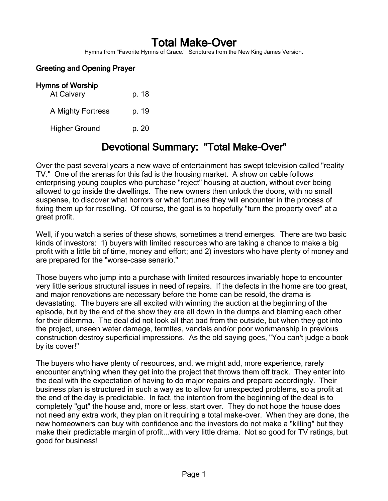# Total Make-Over

Hymns from "Favorite Hymns of Grace." Scriptures from the New King James Version.

### Greeting and Opening Prayer

| <b>Hymns of Worship</b> |       |
|-------------------------|-------|
| At Calvary              | p. 18 |
| A Mighty Fortress       | p. 19 |
| <b>Higher Ground</b>    | p. 20 |

# Devotional Summary: "Total Make-Over"

Over the past several years a new wave of entertainment has swept television called "reality TV." One of the arenas for this fad is the housing market. A show on cable follows enterprising young couples who purchase "reject" housing at auction, without ever being allowed to go inside the dwellings. The new owners then unlock the doors, with no small suspense, to discover what horrors or what fortunes they will encounter in the process of fixing them up for reselling. Of course, the goal is to hopefully "turn the property over" at a great profit.

Well, if you watch a series of these shows, sometimes a trend emerges. There are two basic kinds of investors: 1) buyers with limited resources who are taking a chance to make a big profit with a little bit of time, money and effort; and 2) investors who have plenty of money and are prepared for the "worse-case senario."

Those buyers who jump into a purchase with limited resources invariably hope to encounter very little serious structural issues in need of repairs. If the defects in the home are too great, and major renovations are necessary before the home can be resold, the drama is devastating. The buyers are all excited with winning the auction at the beginning of the episode, but by the end of the show they are all down in the dumps and blaming each other for their dilemma. The deal did not look all that bad from the outside, but when they got into the project, unseen water damage, termites, vandals and/or poor workmanship in previous construction destroy superficial impressions. As the old saying goes, "You can't judge a book by its cover!"

The buyers who have plenty of resources, and, we might add, more experience, rarely encounter anything when they get into the project that throws them off track. They enter into the deal with the expectation of having to do major repairs and prepare accordingly. Their business plan is structured in such a way as to allow for unexpected problems, so a profit at the end of the day is predictable. In fact, the intention from the beginning of the deal is to completely "gut" the house and, more or less, start over. They do not hope the house does not need any extra work, they plan on it requiring a total make-over. When they are done, the new homeowners can buy with confidence and the investors do not make a "killing" but they make their predictable margin of profit...with very little drama. Not so good for TV ratings, but good for business!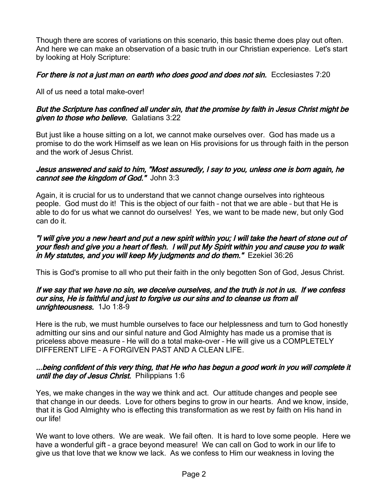Though there are scores of variations on this scenario, this basic theme does play out often. And here we can make an observation of a basic truth in our Christian experience. Let's start by looking at Holy Scripture:

## For there is not a just man on earth who does good and does not sin. Ecclesiastes 7:20

All of us need a total make-over!

#### But the Scripture has confined all under sin, that the promise by faith in Jesus Christ might be given to those who believe. Galatians 3:22

But just like a house sitting on a lot, we cannot make ourselves over. God has made us a promise to do the work Himself as we lean on His provisions for us through faith in the person and the work of Jesus Christ.

#### Jesus answered and said to him, "Most assuredly, I say to you, unless one is born again, he cannot see the kingdom of God." John 3:3

Again, it is crucial for us to understand that we cannot change ourselves into righteous people. God must do it! This is the object of our faith – not that we are able – but that He is able to do for us what we cannot do ourselves! Yes, we want to be made new, but only God can do it.

#### "I will give you a new heart and put a new spirit within you; I will take the heart of stone out of your flesh and give you a heart of flesh. I will put My Spirit within you and cause you to walk in My statutes, and you will keep My judgments and do them." Ezekiel 36:26

This is God's promise to all who put their faith in the only begotten Son of God, Jesus Christ.

#### If we say that we have no sin, we deceive ourselves, and the truth is not in us. If we confess our sins, He is faithful and just to forgive us our sins and to cleanse us from all unrighteousness. 1Jo 1:8-9

Here is the rub, we must humble ourselves to face our helplessness and turn to God honestly admitting our sins and our sinful nature and God Almighty has made us a promise that is priceless above measure – He will do a total make-over – He will give us a COMPLETELY DIFFERENT LIFE – A FORGIVEN PAST AND A CLEAN LIFE.

#### ...being confident of this very thing, that He who has begun a good work in you will complete it until the day of Jesus Christ. Philippians 1:6

Yes, we make changes in the way we think and act. Our attitude changes and people see that change in our deeds. Love for others begins to grow in our hearts. And we know, inside, that it is God Almighty who is effecting this transformation as we rest by faith on His hand in our life!

We want to love others. We are weak. We fail often. It is hard to love some people. Here we have a wonderful gift – a grace beyond measure! We can call on God to work in our life to give us that love that we know we lack. As we confess to Him our weakness in loving the